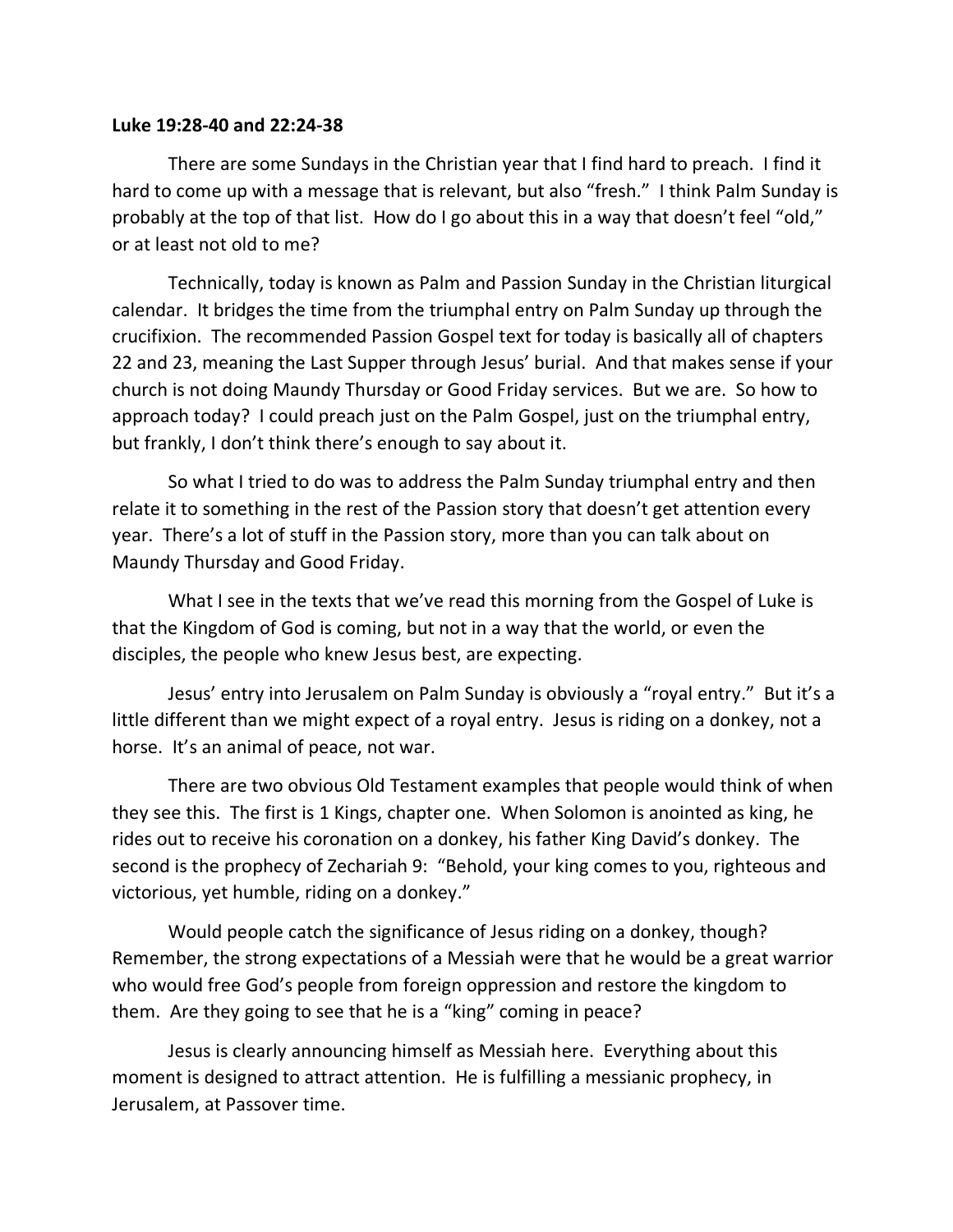## **Luke 19:28-40 and 22:24-38**

There are some Sundays in the Christian year that I find hard to preach. I find it hard to come up with a message that is relevant, but also "fresh." I think Palm Sunday is probably at the top of that list. How do I go about this in a way that doesn't feel "old," or at least not old to me?

Technically, today is known as Palm and Passion Sunday in the Christian liturgical calendar. It bridges the time from the triumphal entry on Palm Sunday up through the crucifixion. The recommended Passion Gospel text for today is basically all of chapters 22 and 23, meaning the Last Supper through Jesus' burial. And that makes sense if your church is not doing Maundy Thursday or Good Friday services. But we are. So how to approach today? I could preach just on the Palm Gospel, just on the triumphal entry, but frankly, I don't think there's enough to say about it.

So what I tried to do was to address the Palm Sunday triumphal entry and then relate it to something in the rest of the Passion story that doesn't get attention every year. There's a lot of stuff in the Passion story, more than you can talk about on Maundy Thursday and Good Friday.

What I see in the texts that we've read this morning from the Gospel of Luke is that the Kingdom of God is coming, but not in a way that the world, or even the disciples, the people who knew Jesus best, are expecting.

Jesus' entry into Jerusalem on Palm Sunday is obviously a "royal entry." But it's a little different than we might expect of a royal entry. Jesus is riding on a donkey, not a horse. It's an animal of peace, not war.

There are two obvious Old Testament examples that people would think of when they see this. The first is 1 Kings, chapter one. When Solomon is anointed as king, he rides out to receive his coronation on a donkey, his father King David's donkey. The second is the prophecy of Zechariah 9: "Behold, your king comes to you, righteous and victorious, yet humble, riding on a donkey."

Would people catch the significance of Jesus riding on a donkey, though? Remember, the strong expectations of a Messiah were that he would be a great warrior who would free God's people from foreign oppression and restore the kingdom to them. Are they going to see that he is a "king" coming in peace?

Jesus is clearly announcing himself as Messiah here. Everything about this moment is designed to attract attention. He is fulfilling a messianic prophecy, in Jerusalem, at Passover time.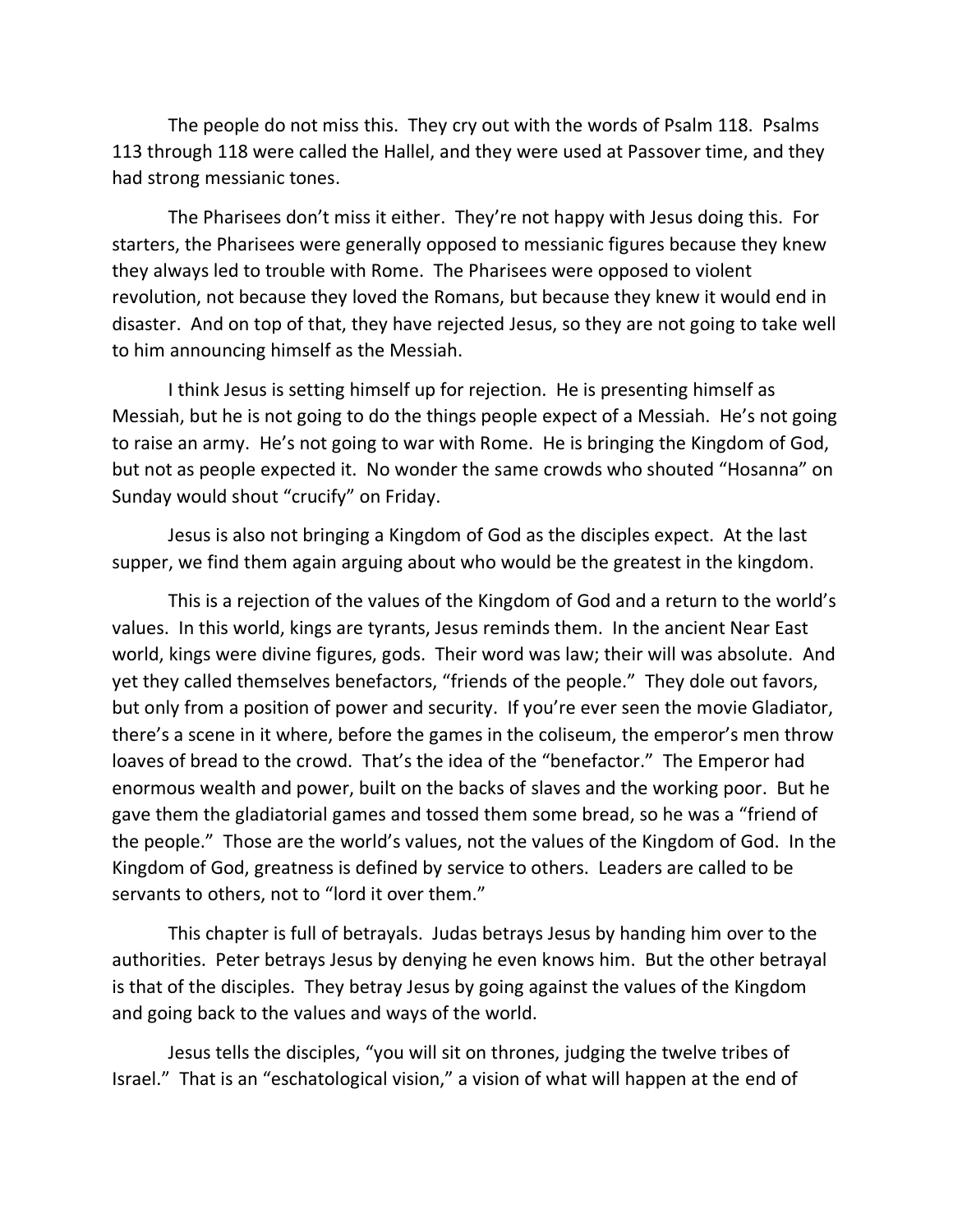The people do not miss this. They cry out with the words of Psalm 118. Psalms 113 through 118 were called the Hallel, and they were used at Passover time, and they had strong messianic tones.

The Pharisees don't miss it either. They're not happy with Jesus doing this. For starters, the Pharisees were generally opposed to messianic figures because they knew they always led to trouble with Rome. The Pharisees were opposed to violent revolution, not because they loved the Romans, but because they knew it would end in disaster. And on top of that, they have rejected Jesus, so they are not going to take well to him announcing himself as the Messiah.

I think Jesus is setting himself up for rejection. He is presenting himself as Messiah, but he is not going to do the things people expect of a Messiah. He's not going to raise an army. He's not going to war with Rome. He is bringing the Kingdom of God, but not as people expected it. No wonder the same crowds who shouted "Hosanna" on Sunday would shout "crucify" on Friday.

Jesus is also not bringing a Kingdom of God as the disciples expect. At the last supper, we find them again arguing about who would be the greatest in the kingdom.

This is a rejection of the values of the Kingdom of God and a return to the world's values. In this world, kings are tyrants, Jesus reminds them. In the ancient Near East world, kings were divine figures, gods. Their word was law; their will was absolute. And yet they called themselves benefactors, "friends of the people." They dole out favors, but only from a position of power and security. If you're ever seen the movie Gladiator, there's a scene in it where, before the games in the coliseum, the emperor's men throw loaves of bread to the crowd. That's the idea of the "benefactor." The Emperor had enormous wealth and power, built on the backs of slaves and the working poor. But he gave them the gladiatorial games and tossed them some bread, so he was a "friend of the people." Those are the world's values, not the values of the Kingdom of God. In the Kingdom of God, greatness is defined by service to others. Leaders are called to be servants to others, not to "lord it over them."

This chapter is full of betrayals. Judas betrays Jesus by handing him over to the authorities. Peter betrays Jesus by denying he even knows him. But the other betrayal is that of the disciples. They betray Jesus by going against the values of the Kingdom and going back to the values and ways of the world.

Jesus tells the disciples, "you will sit on thrones, judging the twelve tribes of Israel." That is an "eschatological vision," a vision of what will happen at the end of